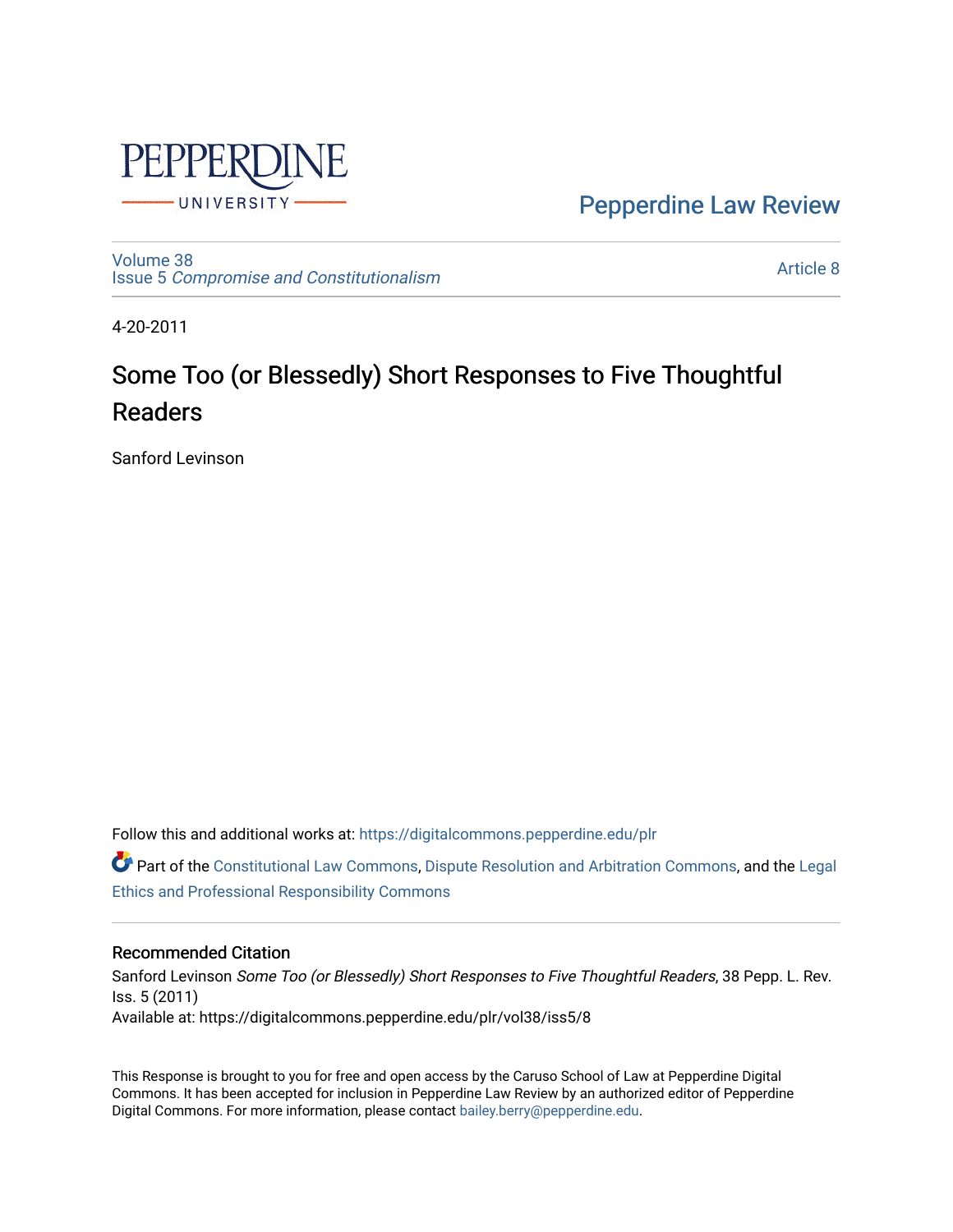

[Pepperdine Law Review](https://digitalcommons.pepperdine.edu/plr) 

[Volume 38](https://digitalcommons.pepperdine.edu/plr/vol38) Issue 5 [Compromise and Constitutionalism](https://digitalcommons.pepperdine.edu/plr/vol38/iss5) 

[Article 8](https://digitalcommons.pepperdine.edu/plr/vol38/iss5/8) 

4-20-2011

## Some Too (or Blessedly) Short Responses to Five Thoughtful Readers

Sanford Levinson

Follow this and additional works at: [https://digitalcommons.pepperdine.edu/plr](https://digitalcommons.pepperdine.edu/plr?utm_source=digitalcommons.pepperdine.edu%2Fplr%2Fvol38%2Fiss5%2F8&utm_medium=PDF&utm_campaign=PDFCoverPages)

**C** Part of the [Constitutional Law Commons,](http://network.bepress.com/hgg/discipline/589?utm_source=digitalcommons.pepperdine.edu%2Fplr%2Fvol38%2Fiss5%2F8&utm_medium=PDF&utm_campaign=PDFCoverPages) [Dispute Resolution and Arbitration Commons,](http://network.bepress.com/hgg/discipline/890?utm_source=digitalcommons.pepperdine.edu%2Fplr%2Fvol38%2Fiss5%2F8&utm_medium=PDF&utm_campaign=PDFCoverPages) and the Legal [Ethics and Professional Responsibility Commons](http://network.bepress.com/hgg/discipline/895?utm_source=digitalcommons.pepperdine.edu%2Fplr%2Fvol38%2Fiss5%2F8&utm_medium=PDF&utm_campaign=PDFCoverPages) 

## Recommended Citation

Sanford Levinson Some Too (or Blessedly) Short Responses to Five Thoughtful Readers, 38 Pepp. L. Rev. Iss. 5 (2011) Available at: https://digitalcommons.pepperdine.edu/plr/vol38/iss5/8

This Response is brought to you for free and open access by the Caruso School of Law at Pepperdine Digital Commons. It has been accepted for inclusion in Pepperdine Law Review by an authorized editor of Pepperdine Digital Commons. For more information, please contact [bailey.berry@pepperdine.edu.](mailto:bailey.berry@pepperdine.edu)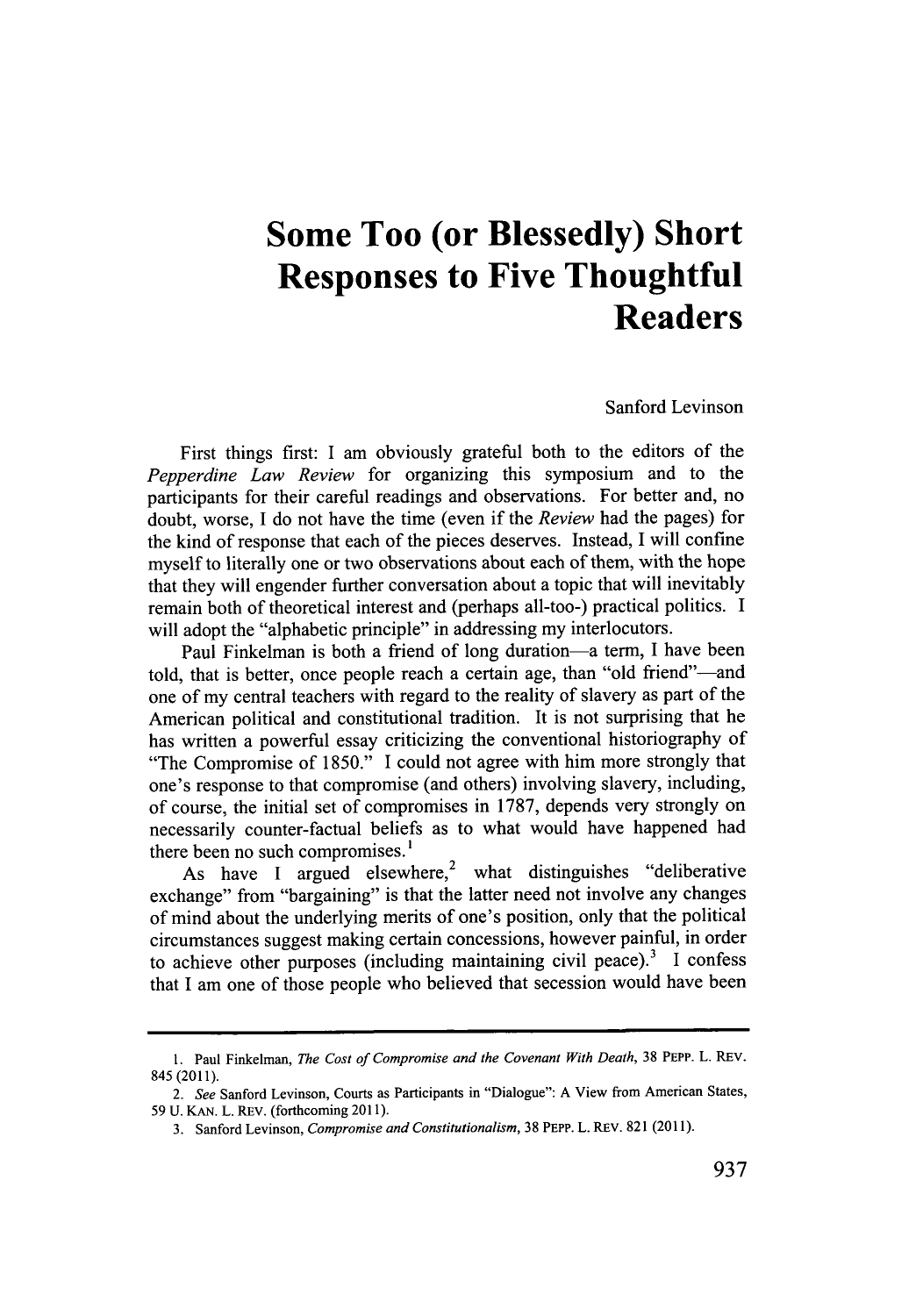## **Some Too (or Blessedly) Short Responses to Five Thoughtful Readers**

Sanford Levinson

First things first: **I** am obviously grateful both to the editors of the *Pepperdine Law Review* for organizing this symposium and to the participants for their careful readings and observations. For better and, no doubt, worse, **I** do not have the time (even if the *Review* had the pages) for the kind of response that each of the pieces deserves. Instead, **I** will confine myself to literally one or two observations about each of them, with the hope that they will engender further conversation about a topic that will inevitably remain both of theoretical interest and (perhaps all-too-) practical politics. **I** will adopt the "alphabetic principle" in addressing my interlocutors.

Paul Finkelman is both a friend of long duration—a term, I have been told, that is better, once people reach a certain age, than "old friend"—and one of my central teachers with regard to the reality of slavery as part of the American political and constitutional tradition. It is not surprising that he has written a powerful essay criticizing the conventional historiography of "The Compromise of **1850."** I could not agree with him more strongly that one's response to that compromise (and others) involving slavery, including, of course, the initial set of compromises in **1787,** depends very strongly on necessarily counter-factual beliefs as to what would have happened had there been no such compromises.'

As have I argued elsewhere,<sup>2</sup> what distinguishes "deliberative exchange" from "bargaining" is that the latter need not involve any changes of mind about the underlying merits of one's position, only that the political circumstances suggest making certain concessions, however painful, in order to achieve other purposes (including maintaining civil peace).<sup>3</sup> I confess that I am one of those people who believed that secession would have been

**<sup>1.</sup>** Paul Finkelman, *The Cost of Compromise and the Covenant With Death,* **38 PEPP. L.** REV. 845 (2011).

*<sup>2.</sup> See* Sanford Levinson, *Courts* as Participants in "Dialogue": **A** View from American States, **59 U. KAN.** L. REV. (forthcoming **2011).**

**<sup>3.</sup>** Sanford Levinson, *Compromise and Constitutionalism,* **38** PEPP. L. REv. **821 (2011).**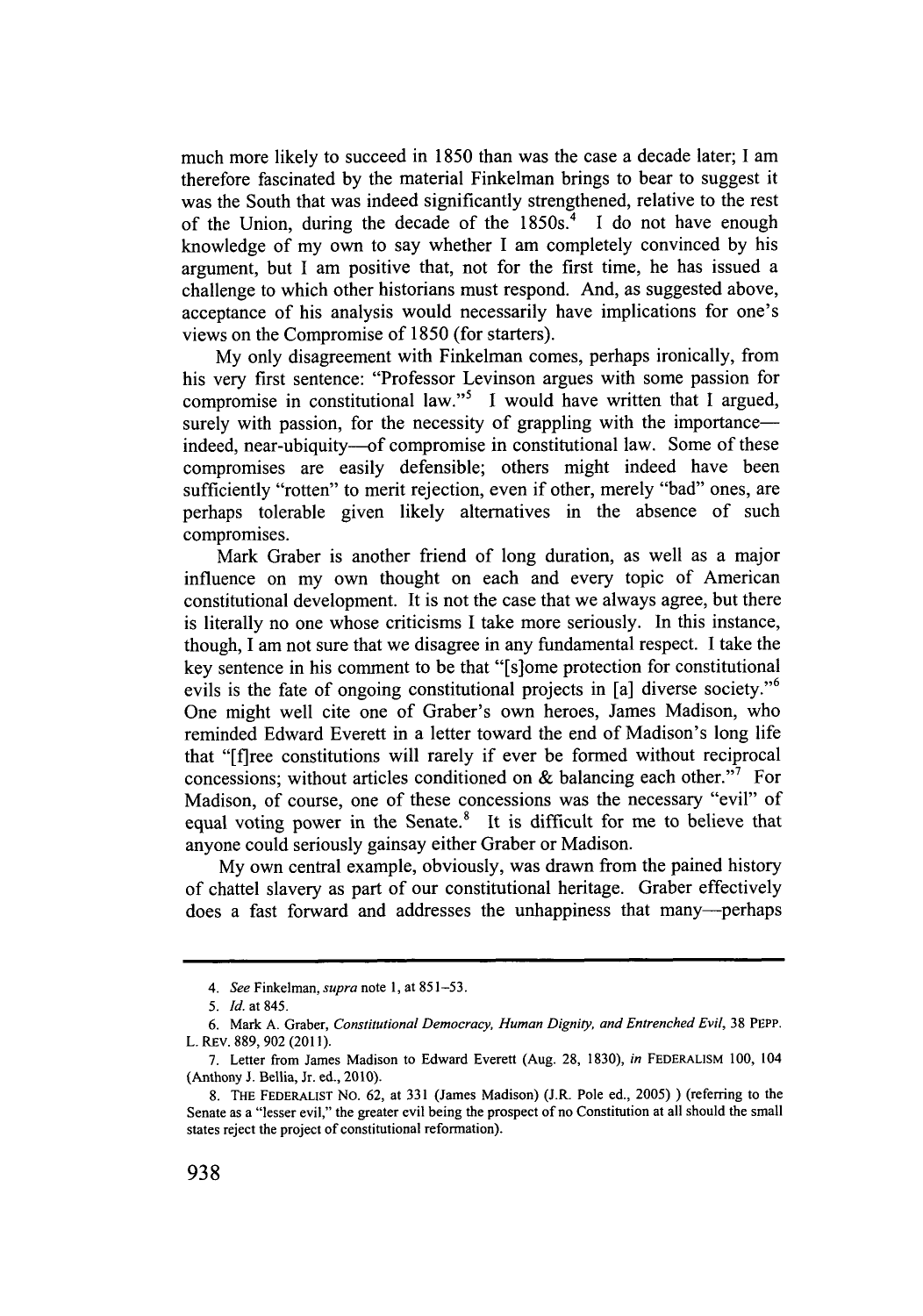much more likely to succeed in **1850** than was the case a decade later; **I** am therefore fascinated **by** the material Finkelman brings to bear to suggest it was the South that was indeed significantly strengthened, relative to the rest of the Union, during the decade of the **1850s. 4 I** do not have enough knowledge of my own to say whether **I** am completely convinced **by** his argument, but **I** am positive that, not for the first time, he has issued a challenge to which other historians must respond. And, as suggested above, acceptance of his analysis would necessarily have implications for one's views on the Compromise of **1850** (for starters).

**My** only disagreement with Finkelman comes, perhaps ironically, from his very first sentence: "Professor Levinson argues with some passion for compromise in constitutional law."5 **I** would have written that **I** argued, surely with passion, for the necessity of grappling with the importanceindeed, near-ubiquity-of compromise in constitutional law. Some of these compromises are easily defensible; others might indeed have been sufficiently "rotten" to merit rejection, even if other, merely "bad" ones, are perhaps tolerable given likely alternatives in the absence of such compromises.

Mark Graber is another friend of long duration, as well as a major influence on my own thought on each and every topic of American constitutional development. It is not the case that we always agree, but there is literally no one whose criticisms **I** take more seriously. In this instance, though, **I** am not sure that we disagree in any fundamental respect. **I** take the key sentence in his comment to be that "[s]ome protection for constitutional evils is the fate of ongoing constitutional projects in [a] diverse society."<sup>6</sup> One might well cite one of Graber's own heroes, James Madison, who reminded Edward Everett in a letter toward the end of Madison's long life that "[f]ree constitutions will rarely if ever be formed without reciprocal concessions; without articles conditioned on **&** balancing each other."' For Madison, of course, one of these concessions was the necessary "evil" of equal voting power in the Senate.<sup>8</sup> It is difficult for me to believe that anyone could seriously gainsay either Graber or Madison.

**My** own central example, obviously, was drawn from the pained history of chattel slavery as part of our constitutional heritage. Graber effectively does a fast forward and addresses the unhappiness that many-perhaps

*<sup>4.</sup> See Finkelman, supra* note **1,** at *851-53.*

*<sup>5.</sup> Id. at 845.*

*<sup>6.</sup>* Mark **A.** Graber, *Constitutional Democracy, Human Dignity, and Entrenched Evil,* **38 PEPP.** L. REv. **889, 902 (2011).**

**<sup>7.</sup>** Letter from James Madison to Edward Everett (Aug. **28, 1830),** *in* **FEDERALISM 100,** 104 (Anthony **J.** Bellia, Jr. ed., 2010).

**<sup>8.</sup>** THE **FEDERALIST** No. **62,** at **331** (James Madison) (J.R. Pole ed., *2005)* **)** (referring to the Senate as a "lesser evil," the greater evil being the prospect of no Constitution at all should the small states reject the project of constitutional reformation).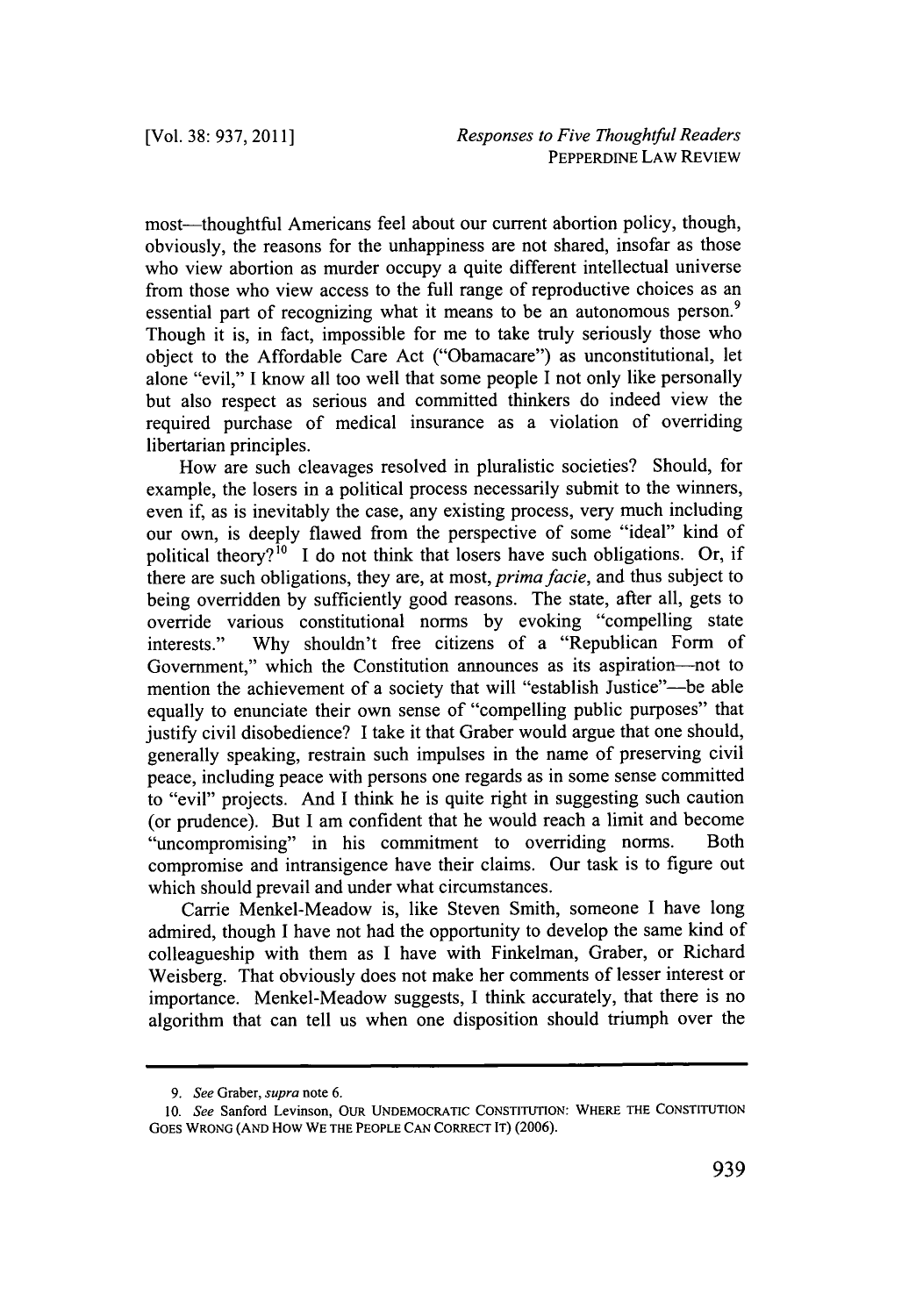most—thoughtful Americans feel about our current abortion policy, though, obviously, the reasons for the unhappiness are not shared, insofar as those who view abortion as murder occupy a quite different intellectual universe from those who view access to the **full** range of reproductive choices as an essential part of recognizing what it means to be an autonomous person.<sup>9</sup> Though it is, in fact, impossible for me to take truly seriously those who object to the Affordable Care Act ("Obamacare") as unconstitutional, let alone "evil," **I** know all too well that some people I not only like personally but also respect as serious and committed thinkers do indeed view the required purchase of medical insurance as a violation of overriding libertarian principles.

How are such cleavages resolved in pluralistic societies? Should, for example, the losers in a political process necessarily submit to the winners, even if, as is inevitably the case, any existing process, very much including our own, is deeply flawed from the perspective of some "ideal" kind of political theory?<sup>10</sup> I do not think that losers have such obligations. Or, if there are such obligations, they are, at most, *prima facie,* and thus subject to being overridden **by** sufficiently good reasons. The state, after all, gets to override various constitutional norms **by** evoking "compelling state interests." **Why** shouldn't free citizens of a "Republican Form of Government," which the Constitution announces as its aspiration-not to mention the achievement of a society that will "establish Justice"--be able equally to enunciate their own sense of "compelling public purposes" that justify civil disobedience? **I** take it that Graber would argue that one should, generally speaking, restrain such impulses in the name of preserving civil peace, including peace with persons one regards as in some sense committed to "evil" projects. And **I** think he is quite right in suggesting such caution (or prudence). But **I** am confident that he would reach a limit and become "uncompromising" in his commitment to overriding norms. Both compromise and intransigence have their claims. Our task is to figure out which should prevail and under what circumstances.

Carrie Menkel-Meadow is, like Steven Smith, someone **I** have long admired, though **I** have not had the opportunity to develop the same kind of colleagueship with them as **I** have with Finkelman, Graber, or Richard Weisberg. That obviously does not make her comments of lesser interest or importance. Menkel-Meadow suggests, **I** think accurately, that there is no algorithm that can tell us when one disposition should triumph over the

*<sup>9.</sup> See Graber, supra* **note 6.**

*<sup>10.</sup> See* **Sanford Levinson, OUR UNDEMOCRATIC CONSTITUTION: WHERE THE CONSTITUTION GOES WRONG (AND How WE THE PEOPLE CAN CORRECT IT) (2006).**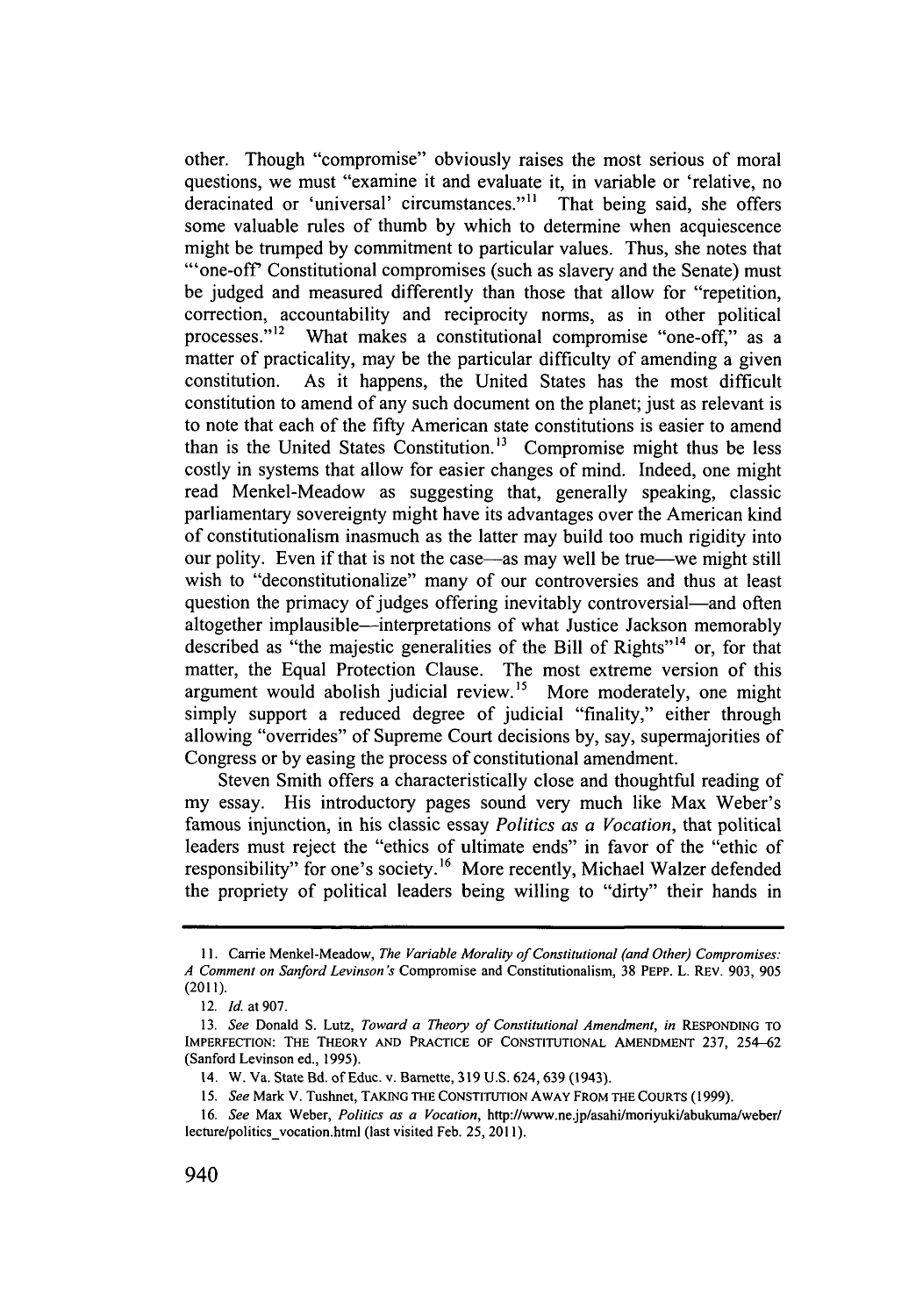other. Though "compromise" obviously raises the most serious of moral questions, we must "examine it and evaluate it, in variable or 'relative, no deracinated or 'universal' circumstances."<sup>11</sup> That being said, she offers some valuable rules of thumb **by** which to determine when acquiescence might be trumped **by** commitment to particular values. Thus, she notes that "'one-off Constitutional compromises (such as slavery and the Senate) must be judged and measured differently than those that allow for "repetition, correction, accountability and reciprocity norms, as in other political processes."<sup>12</sup> What makes a constitutional compromise "one-off," as a matter of practicality, may be the particular difficulty of amending a given constitution. As it happens, the United States has the most difficult constitution to amend of any such document on the planet; just as relevant is to note that each of the fifty American state constitutions is easier to amend than is the United States Constitution.<sup>13</sup> Compromise might thus be less costly in systems that allow for easier changes of mind. Indeed, one might read Menkel-Meadow as suggesting that, generally speaking, classic parliamentary sovereignty might have its advantages over the American kind of constitutionalism inasmuch as the latter may build too much rigidity into our polity. Even if that is not the case—as may well be true—we might still wish to "deconstitutionalize" many of our controversies and thus at least question the primacy of judges offering inevitably controversial—and often altogether implausible—interpretations of what Justice Jackson memorably described as "the majestic generalities of the Bill of Rights"<sup>14</sup> or, for that matter, the Equal Protection Clause. The most extreme version of this argument would abolish judicial review.<sup>15</sup> More moderately, one might simply support a reduced degree of judicial "finality," either through allowing "overrides" of Supreme Court decisions **by,** say, supermajorities of Congress or **by** easing the process of constitutional amendment.

Steven Smith offers a characteristically close and thoughtful reading of my essay. His introductory pages sound very much like Max Weber's famous injunction, in his classic essay *Politics as a Vocation,* that political leaders must reject the "ethics of ultimate ends" in favor of the "ethic of responsibility" for one's society.<sup>16</sup> More recently, Michael Walzer defended the propriety of political leaders being willing to "dirty" their hands in

**<sup>11.</sup> Carrie Menkel-Meadow,** *The Variable Morality of Constitutional (and Other) Compromises: A* Comment on Sanford Levinson's Compromise and Constitutionalism, **38 PEPP. L. REV. 903, 905** (2011).

*<sup>12.</sup> Id. at 907.*

*<sup>13.</sup> See* **Donald S. Lutz,** *Toward a Theory of Constitutional Amendment, in* **RESPONDING TO IMPERFECTION: THE THEORY AND PRACTICE OF CONSTITUTIONAL AMENDMENT 237,** 254-62 (Sanford Levinson ed., **1995).**

<sup>14.</sup> W. Va. State Bd. of Educ. **v. Barnette, 319 U.S.** 624, **639** (1943).

*<sup>15.</sup> See* Mark V. Tushnet, **TAKING THE CONSTITUTION AWAY FROM THE COURTS (1999).**

*<sup>16.</sup> See* Max Weber, *Politics as a Vocation,* **http://www.ne.jp/asahi/moriyuki/abukuma/weber/** lecture/politics\_vocation.html (last visited Feb. 25, 2011).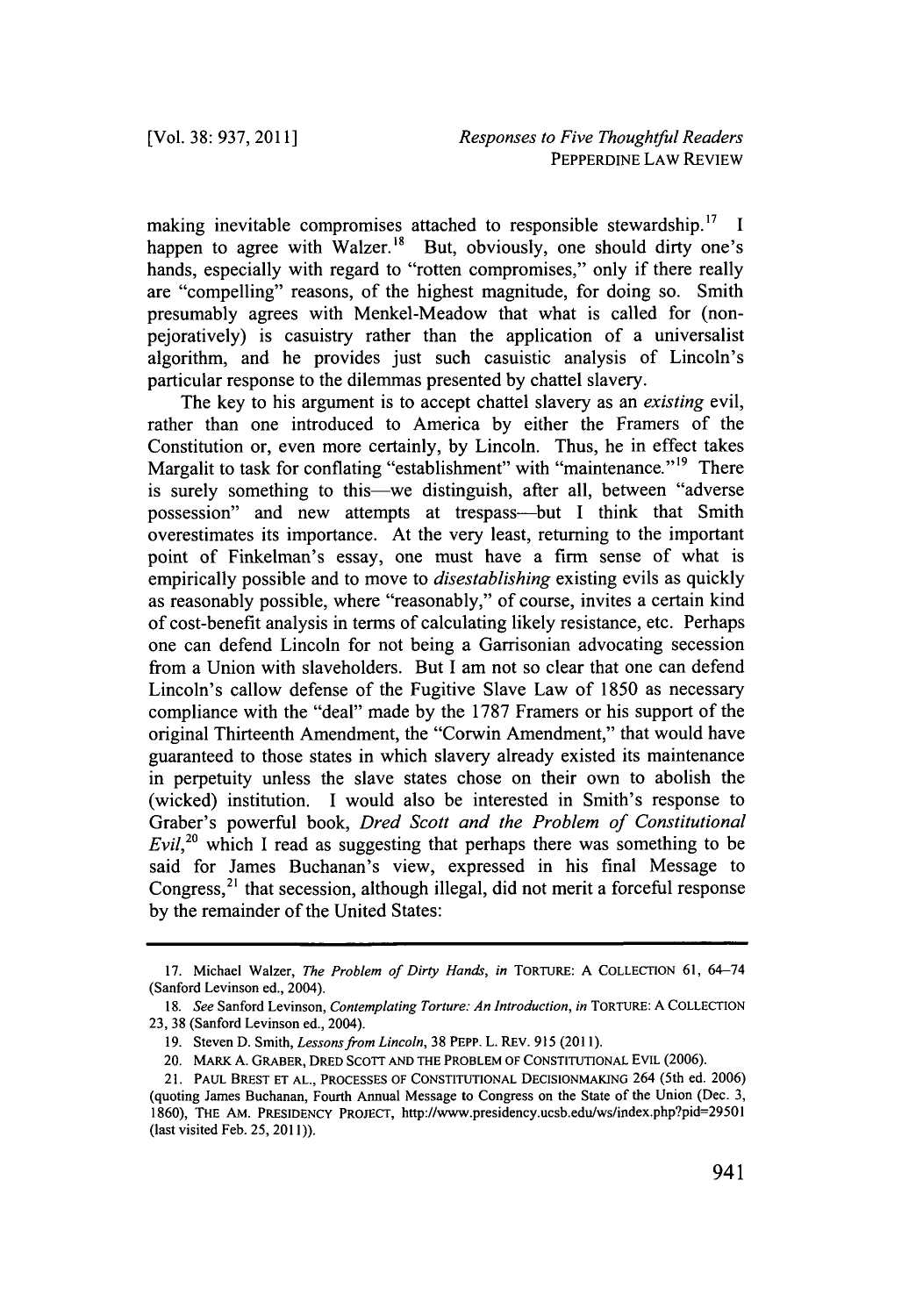making inevitable compromises attached to responsible stewardship.<sup>17</sup> I happen to agree with Walzer.<sup>18</sup> But, obviously, one should dirty one's hands, especially with regard to "rotten compromises," only if there really are "compelling" reasons, of the highest magnitude, for doing so. Smith presumably agrees with Menkel-Meadow that what is called for (nonpejoratively) is casuistry rather than the application of a universalist algorithm, and he provides just such casuistic analysis of Lincoln's particular response to the dilemmas presented **by** chattel slavery.

The key to his argument is to accept chattel slavery as an *existing evil,* rather than one introduced to America **by** either the Framers of the Constitution or, even more certainly, **by** Lincoln. Thus, he in effect takes Margalit to task for conflating "establishment" with "maintenance."<sup>19</sup> There is surely something to this—we distinguish, after all, between "adverse possession" and new attempts at trespass-but **I** think that Smith overestimates its importance. At the very least, returning to the important point of Finkelman's essay, one must have a firm sense of what is empirically possible and to move to *disestablishing* existing evils as quickly as reasonably possible, where "reasonably," of course, invites a certain kind of cost-benefit analysis in terms of calculating likely resistance, etc. Perhaps one can defend Lincoln for not being a Garrisonian advocating secession from a Union with slaveholders. But **I** am not so clear that one can defend Lincoln's callow defense of the Fugitive Slave Law of **1850** as necessary compliance with the "deal" made **by** the **1787** Framers or his support of the original Thirteenth Amendment, the "Corwin Amendment," that would have guaranteed to those states in which slavery already existed its maintenance in perpetuity unless the slave states chose on their own to abolish the (wicked) institution. **I** would also be interested in Smith's response to Graber's powerful book, *Dred Scott and the Problem of Constitutional Evil*,<sup>20</sup> which I read as suggesting that perhaps there was something to be said for James Buchanan's view, expressed in his final Message to Congress,<sup>21</sup> that secession, although illegal, did not merit a forceful response **by** the remainder of the United States:

**<sup>17.</sup>** Michael Walzer, *The Problem of Dirty Hands, in* **TORTURE: A COLLECTION 61,** 64-74 (Sanford Levinson ed., 2004).

*<sup>18.</sup> See* Sanford Levinson, *Contemplating Torture: An Introduction, in* **TORTURE: A COLLECTION 23, 38** (Sanford Levinson ed., 2004).

**<sup>19.</sup>** Steven **D.** Smith, *Lessons from Lincoln,* **38** PEPP. L. REv. **915 (2011).**

<sup>20.</sup> MARK **A.** GRABER, DRED **SCorr AND THE PROBLEM OF CONSTITUTIONAL** EVIL **(2006).**

<sup>21.</sup> **PAUL** BREST **ET AL., PROCESSES OF CONSTITUTIONAL DECISIONMAKING** 264 (5th ed. **2006)** (quoting James Buchanan, Fourth Annual Message to Congress on the State of the Union (Dec. **3, 1860),** THE AM. **PRESIDENCY** PROJECT, http://www.presidency.ucsb.edulws/index.php?pid=29501 (last visited Feb. **25, 2011)).**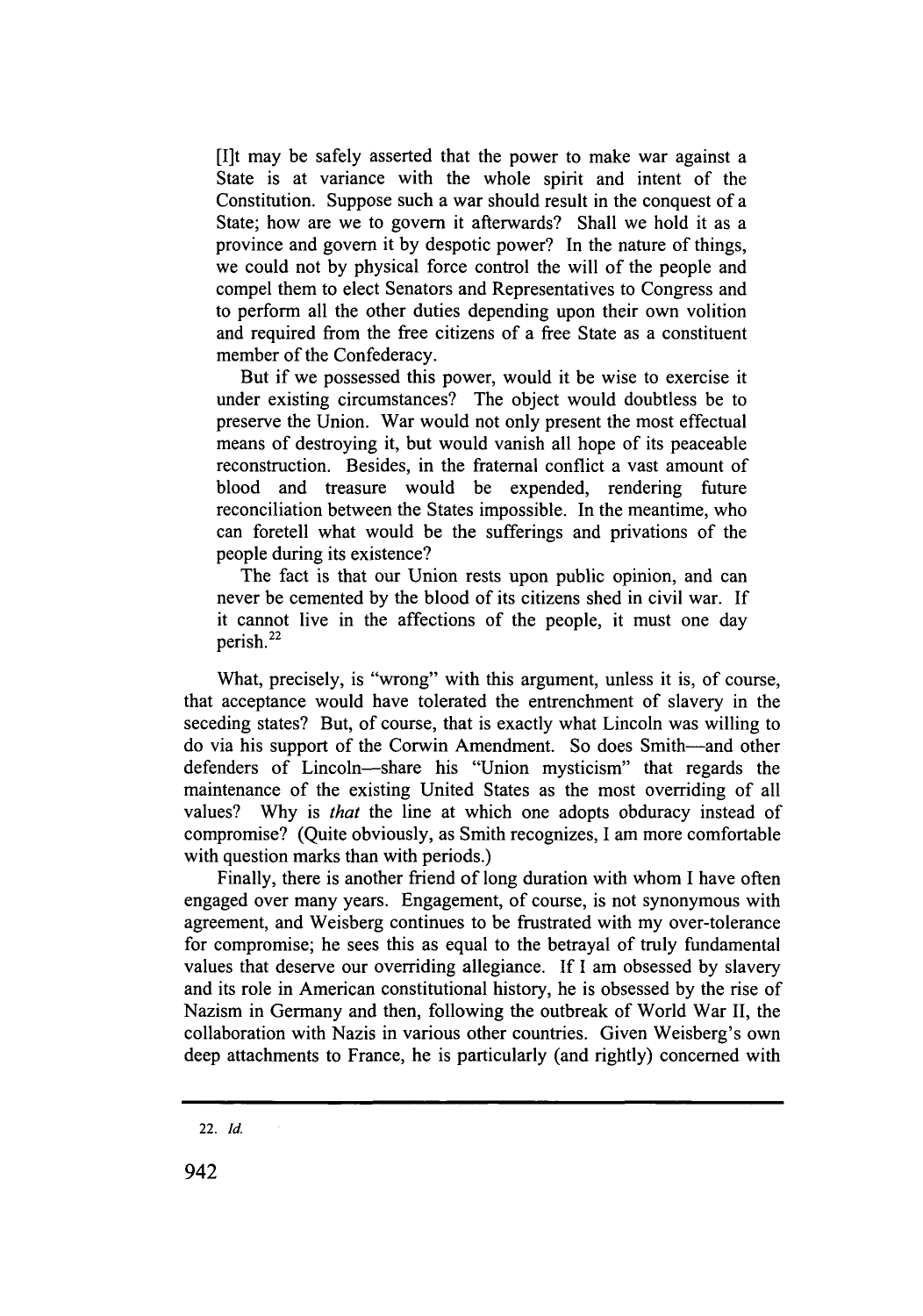[I]t may be safely asserted that the power to make war against a State is at variance with the whole spirit and intent of the Constitution. Suppose such a war should result in the conquest of a State; how are we to govern it afterwards? Shall we hold it as a province and govern it **by** despotic power? In the nature of things, we could not **by** physical force control the will of the people and compel them to elect Senators and Representatives to Congress and to perform all the other duties depending upon their own volition and required from the free citizens of a free State as a constituent member of the Confederacy.

But if we possessed this power, would it be wise to exercise it under existing circumstances? The object would doubtless be to preserve the Union. War would not only present the most effectual means of destroying it, but would vanish all hope of its peaceable reconstruction. Besides, in the fraternal conflict a vast amount of blood and treasure would be expended, rendering future reconciliation between the States impossible. In the meantime, who can foretell what would be the sufferings and privations of the people during its existence?

The fact is that our Union rests upon public opinion, and can never be cemented **by** the blood of its citizens shed in civil war. **If** it cannot live in the affections of the people, it must one day perish.<sup>22</sup>

What, precisely, is "wrong" with this argument, unless it is, of course, that acceptance would have tolerated the entrenchment of slavery in the seceding states? But, of course, that is exactly what Lincoln was willing to do via his support of the Corwin Amendment. So does Smith-and other defenders of Lincoln-share his "Union mysticism" that regards the maintenance of the existing United States as the most overriding of all values? **Why** is *that* the line at which one adopts obduracy instead of compromise? (Quite obviously, as Smith recognizes, **I** am more comfortable with question marks than with periods.)

Finally, there is another friend of long duration with whom **I** have often engaged over many years. Engagement, of course, is not synonymous with agreement, and Weisberg continues to be frustrated with my over-tolerance for compromise; he sees this as equal to the betrayal of truly fundamental values that deserve our overriding allegiance. **If I** am obsessed **by** slavery and its role in American constitutional history, he is obsessed **by** the rise of Nazism in Germany and then, following the outbreak of World War **II,** the collaboration with Nazis in various other countries. Given Weisberg's own deep attachments to France, he is particularly (and rightly) concerned with

942

<sup>22.</sup> **Id.**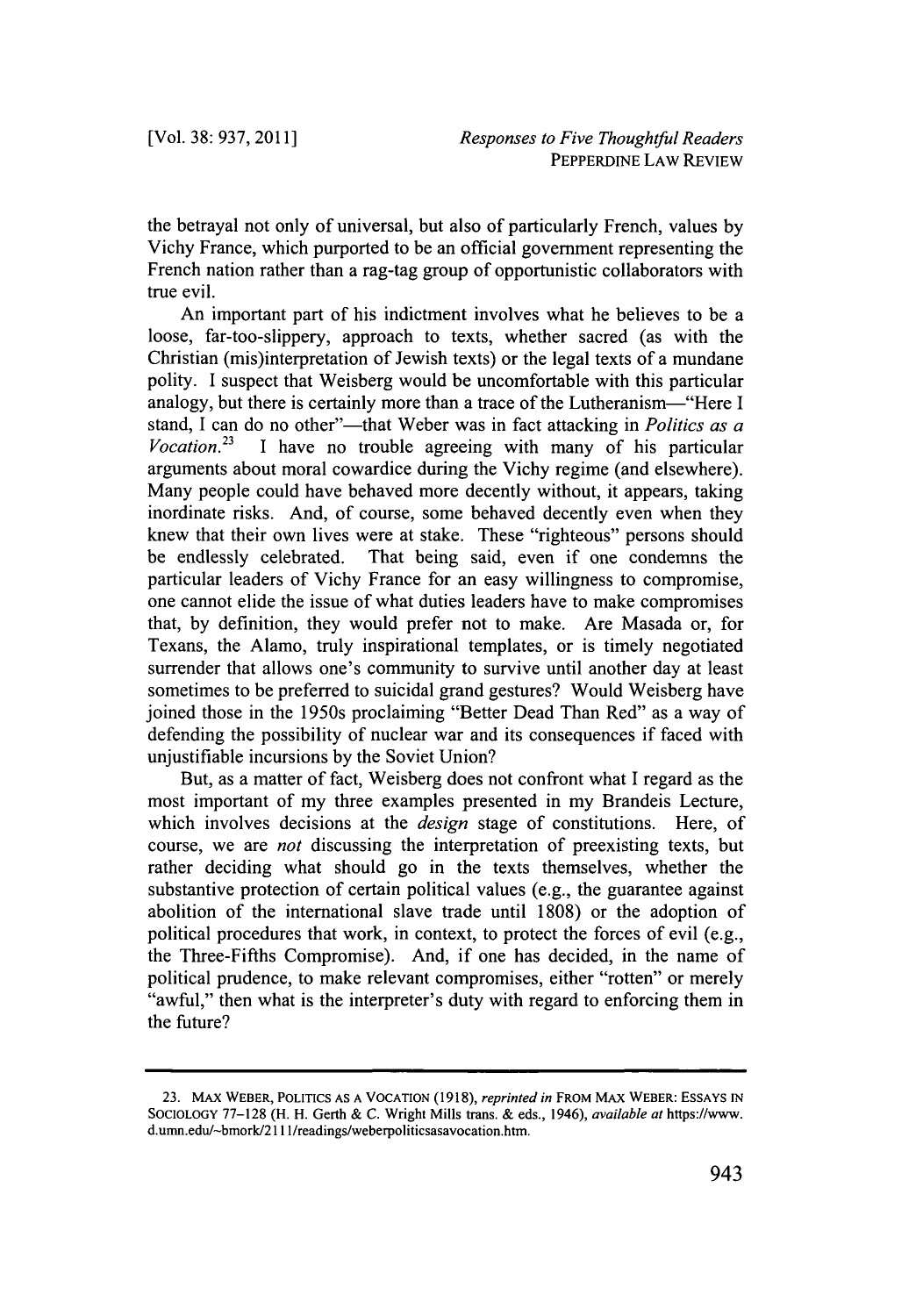the betrayal not only of universal, but also of particularly French, values **by** Vichy France, which purported to be an official government representing the French nation rather than a rag-tag group of opportunistic collaborators with true evil.

An important part of his indictment involves what he believes to be a loose, far-too-slippery, approach to texts, whether sacred (as with the Christian (mis)interpretation of Jewish texts) or the legal texts of a mundane polity. **I** suspect that Weisberg would be uncomfortable with this particular analogy, but there is certainly more than a trace of the Lutheranism-"Here **I** stand, I can do no other"—that Weber was in fact attacking in *Politics as a Vocation*<sup>23</sup> I have no trouble agreeing with many of his particular I have no trouble agreeing with many of his particular arguments about moral cowardice during the Vichy regime (and elsewhere). Many people could have behaved more decently without, it appears, taking inordinate risks. And, of course, some behaved decently even when they knew that their own lives were at stake. These "righteous" persons should be endlessly celebrated. That being said, even if one condemns the particular leaders of Vichy France for an easy willingness to compromise, one cannot elide the issue of what duties leaders have to make compromises that, **by** definition, they would prefer not to make. Are Masada or, for Texans, the Alamo, truly inspirational templates, or is timely negotiated surrender that allows one's community to survive until another day at least sometimes to be preferred to suicidal grand gestures? Would Weisberg have joined those in the 1950s proclaiming "Better Dead Than Red" as a way of defending the possibility of nuclear war and its consequences if faced with unjustifiable incursions **by** the Soviet Union?

But, as a matter of fact, Weisberg does not confront what I regard as the most important of my three examples presented in my Brandeis Lecture, which involves decisions at the *design* stage of constitutions. Here, of course, we are *not* discussing the interpretation of preexisting texts, but rather deciding what should go in the texts themselves, whether the substantive protection of certain political values (e.g., the guarantee against abolition of the international slave trade until **1808)** or the adoption of political procedures that work, in context, to protect the forces of evil (e.g., the Three-Fifths Compromise). And, if one has decided, in the name of political prudence, to make relevant compromises, either "rotten" or merely "awful," then what is the interpreter's duty with regard to enforcing them in the future?

**<sup>23.</sup> MAX WEBER, POLITICS AS A VOCATION (1918),** *reprinted in* **FROM MAX WEBER: ESSAYS IN SOCIOLOGY 77-128 (H. H. Gerth & C. Wright Mills trans. & eds., 1946),** *available at* https://www. **d.umn.edu/-bmork/2 11 1/readings/weberpoliticsasavocation.htm.**